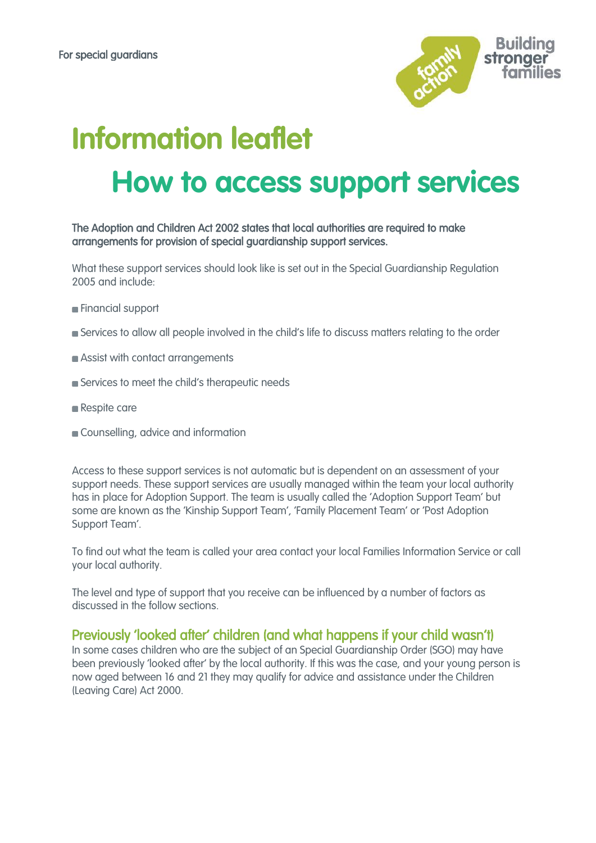

# **Information leaflet How to access support services**

The Adoption and Children Act 2002 states that local authorities are required to make arrangements for provision of special guardianship support services.

What these support services should look like is set out in the Special Guardianship Regulation 2005 and include:

- **Financial support**
- Services to allow all people involved in the child's life to discuss matters relating to the order
- **Assist with contact arrangements**
- Services to meet the child's therapeutic needs
- Respite care
- Counselling, advice and information

Access to these support services is not automatic but is dependent on an assessment of your support needs. These support services are usually managed within the team your local authority has in place for Adoption Support. The team is usually called the 'Adoption Support Team' but some are known as the 'Kinship Support Team', 'Family Placement Team' or 'Post Adoption Support Team'.

To find out what the team is called your area contact your local Families Information Service or call your local authority.

The level and type of support that you receive can be influenced by a number of factors as discussed in the follow sections.

#### Previously 'looked after' children (and what happens if your child wasn't)

In some cases children who are the subject of an Special Guardianship Order (SGO) may have been previously 'looked after' by the local authority. If this was the case, and your young person is now aged between 16 and 21 they may qualify for advice and assistance under the Children (Leaving Care) Act 2000.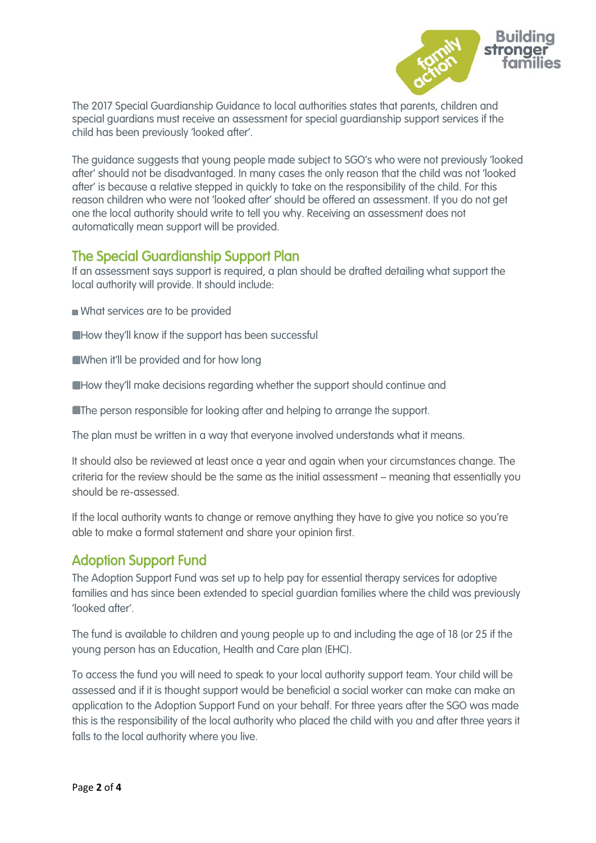

The 2017 Special Guardianship Guidance to local authorities states that parents, children and special guardians must receive an assessment for special guardianship support services if the child has been previously 'looked after'.

The guidance suggests that young people made subject to SGO's who were not previously 'looked after' should not be disadvantaged. In many cases the only reason that the child was not 'looked after' is because a relative stepped in quickly to take on the responsibility of the child. For this reason children who were not 'looked after' should be offered an assessment. If you do not get one the local authority should write to tell you why. Receiving an assessment does not automatically mean support will be provided.

## The Special Guardianship Support Plan

If an assessment says support is required, a plan should be drafted detailing what support the local authority will provide. It should include:

- What services are to be provided
- **EHow they'll know if the support has been successful**
- When it'll be provided and for how long
- How they'll make decisions regarding whether the support should continue and
- **The person responsible for looking after and helping to arrange the support.**

The plan must be written in a way that everyone involved understands what it means.

It should also be reviewed at least once a year and again when your circumstances change. The criteria for the review should be the same as the initial assessment – meaning that essentially you should be re-assessed.

If the local authority wants to change or remove anything they have to give you notice so you're able to make a formal statement and share your opinion first.

### Adoption Support Fund

The Adoption Support Fund was set up to help pay for essential therapy services for adoptive families and has since been extended to special guardian families where the child was previously 'looked after'.

The fund is available to children and young people up to and including the age of 18 (or 25 if the young person has an Education, Health and Care plan (EHC).

To access the fund you will need to speak to your local authority support team. Your child will be assessed and if it is thought support would be beneficial a social worker can make can make an application to the Adoption Support Fund on your behalf. For three years after the SGO was made this is the responsibility of the local authority who placed the child with you and after three years it falls to the local authority where you live.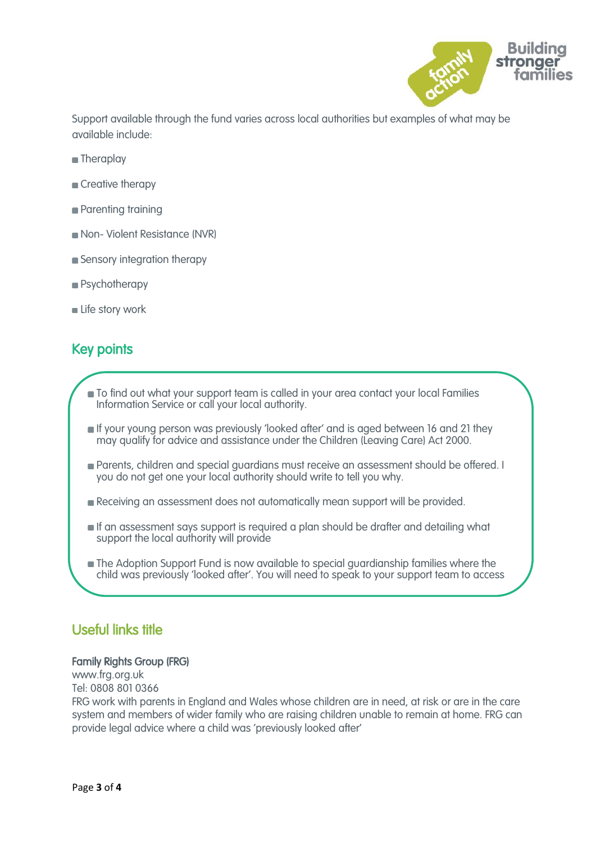

Support available through the fund varies across local authorities but examples of what may be available include:

- **Theraplay**
- Creative therapy
- **Parenting training**
- Non- Violent Resistance (NVR)
- **Sensory integration therapy**
- **Psychotherapy**
- Life story work

# Key points

- $\blacksquare$  To find out what your support team is called in your area contact your local Families Information Service or call your local authority.
- If your young person was previously 'looked after' and is aged between 16 and 21 they may qualify for advice and assistance under the Children (Leaving Care) Act 2000.
- Parents, children and special guardians must receive an assessment should be offered. I you do not get one your local authority should write to tell you why.
- Receiving an assessment does not automatically mean support will be provided.
- **If an assessment says support is required a plan should be drafter and detailing what** support the local authority will provide
- The Adoption Support Fund is now available to special guardianship families where the child was previously 'looked after'. You will need to speak to your support team to access

# Useful links title

 $\overline{\phantom{0}}$ 

#### Family Rights Group (FRG)

www.frg.org.uk Tel: 0808 801 0366

FRG work with parents in England and Wales whose children are in need, at risk or are in the care system and members of wider family who are raising children unable to remain at home. FRG can provide legal advice where a child was 'previously looked after'